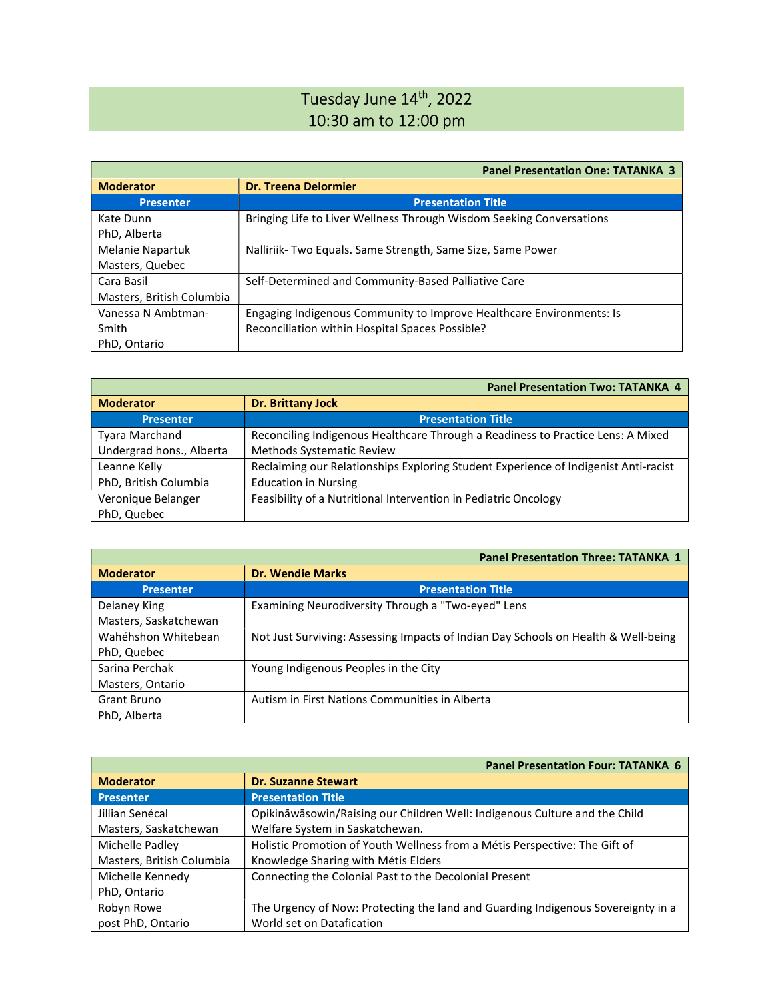## Tuesday June 14<sup>th</sup>, 2022 10:30 am to 12:00 pm

|                           | <b>Panel Presentation One: TATANKA 3</b>                             |
|---------------------------|----------------------------------------------------------------------|
| <b>Moderator</b>          | <b>Dr. Treena Delormier</b>                                          |
| <b>Presenter</b>          | <b>Presentation Title</b>                                            |
| Kate Dunn                 | Bringing Life to Liver Wellness Through Wisdom Seeking Conversations |
| PhD, Alberta              |                                                                      |
| Melanie Napartuk          | Nalliriik-Two Equals. Same Strength, Same Size, Same Power           |
| Masters, Quebec           |                                                                      |
| Cara Basil                | Self-Determined and Community-Based Palliative Care                  |
| Masters, British Columbia |                                                                      |
| Vanessa N Ambtman-        | Engaging Indigenous Community to Improve Healthcare Environments: Is |
| Smith                     | Reconciliation within Hospital Spaces Possible?                      |
| PhD, Ontario              |                                                                      |

| <b>Panel Presentation Two: TATANKA 4</b> |                                                                                     |
|------------------------------------------|-------------------------------------------------------------------------------------|
| <b>Moderator</b>                         | <b>Dr. Brittany Jock</b>                                                            |
| <b>Presenter</b>                         | <b>Presentation Title</b>                                                           |
| <b>Tyara Marchand</b>                    | Reconciling Indigenous Healthcare Through a Readiness to Practice Lens: A Mixed     |
| Undergrad hons., Alberta                 | <b>Methods Systematic Review</b>                                                    |
| Leanne Kelly                             | Reclaiming our Relationships Exploring Student Experience of Indigenist Anti-racist |
| PhD, British Columbia                    | <b>Education in Nursing</b>                                                         |
| Veronique Belanger                       | Feasibility of a Nutritional Intervention in Pediatric Oncology                     |
| PhD, Quebec                              |                                                                                     |

|                       | <b>Panel Presentation Three: TATANKA 1</b>                                         |
|-----------------------|------------------------------------------------------------------------------------|
| <b>Moderator</b>      | <b>Dr. Wendie Marks</b>                                                            |
| <b>Presenter</b>      | <b>Presentation Title</b>                                                          |
| Delaney King          | Examining Neurodiversity Through a "Two-eyed" Lens                                 |
| Masters, Saskatchewan |                                                                                    |
| Wahéhshon Whitebean   | Not Just Surviving: Assessing Impacts of Indian Day Schools on Health & Well-being |
| PhD, Quebec           |                                                                                    |
| Sarina Perchak        | Young Indigenous Peoples in the City                                               |
| Masters, Ontario      |                                                                                    |
| Grant Bruno           | Autism in First Nations Communities in Alberta                                     |
| PhD, Alberta          |                                                                                    |

|                           | <b>Panel Presentation Four: TATANKA 6</b>                                        |
|---------------------------|----------------------------------------------------------------------------------|
| <b>Moderator</b>          | <b>Dr. Suzanne Stewart</b>                                                       |
| <b>Presenter</b>          | <b>Presentation Title</b>                                                        |
| Jillian Senécal           | Opikināwāsowin/Raising our Children Well: Indigenous Culture and the Child       |
| Masters, Saskatchewan     | Welfare System in Saskatchewan.                                                  |
| Michelle Padley           | Holistic Promotion of Youth Wellness from a Métis Perspective: The Gift of       |
| Masters, British Columbia | Knowledge Sharing with Métis Elders                                              |
| Michelle Kennedy          | Connecting the Colonial Past to the Decolonial Present                           |
| PhD, Ontario              |                                                                                  |
| Robyn Rowe                | The Urgency of Now: Protecting the land and Guarding Indigenous Sovereignty in a |
| post PhD, Ontario         | World set on Datafication                                                        |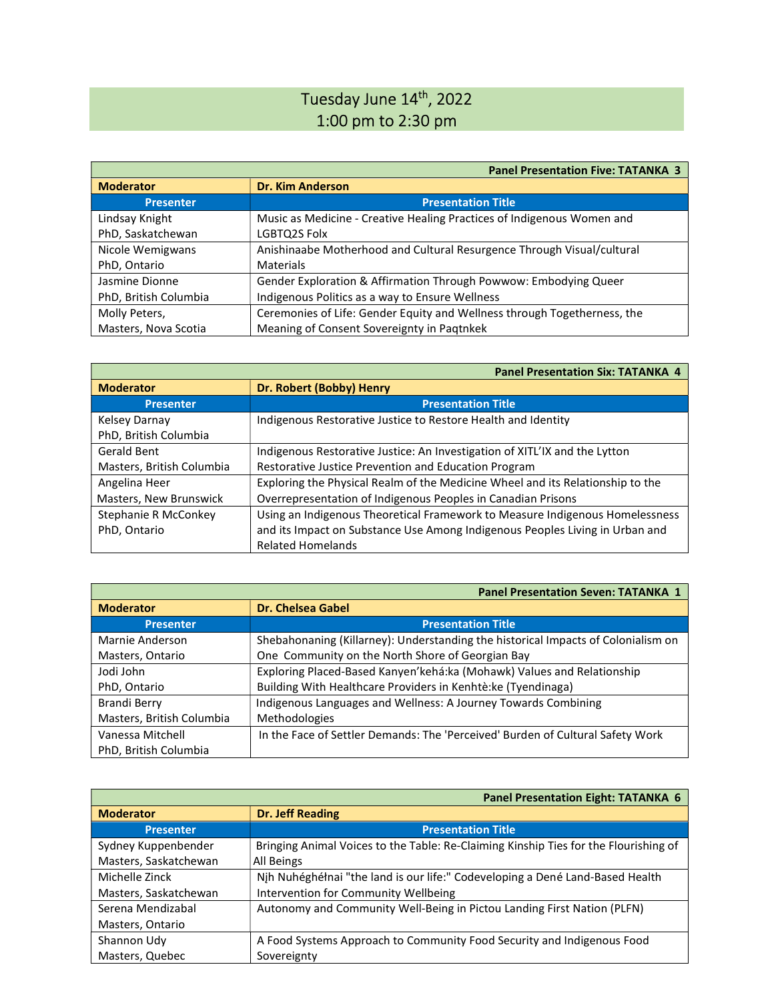## Tuesday June 14<sup>th</sup>, 2022 1:00 pm to 2:30 pm

|                       | <b>Panel Presentation Five: TATANKA 3</b>                                |
|-----------------------|--------------------------------------------------------------------------|
| <b>Moderator</b>      | <b>Dr. Kim Anderson</b>                                                  |
| <b>Presenter</b>      | <b>Presentation Title</b>                                                |
| Lindsay Knight        | Music as Medicine - Creative Healing Practices of Indigenous Women and   |
| PhD, Saskatchewan     | LGBTQ2S Folx                                                             |
| Nicole Wemigwans      | Anishinaabe Motherhood and Cultural Resurgence Through Visual/cultural   |
| PhD, Ontario          | Materials                                                                |
| Jasmine Dionne        | Gender Exploration & Affirmation Through Powwow: Embodying Queer         |
| PhD, British Columbia | Indigenous Politics as a way to Ensure Wellness                          |
| Molly Peters,         | Ceremonies of Life: Gender Equity and Wellness through Togetherness, the |
| Masters, Nova Scotia  | Meaning of Consent Sovereignty in Pagtnkek                               |

|                           | <b>Panel Presentation Six: TATANKA 4</b>                                       |
|---------------------------|--------------------------------------------------------------------------------|
| <b>Moderator</b>          | Dr. Robert (Bobby) Henry                                                       |
| <b>Presenter</b>          | <b>Presentation Title</b>                                                      |
| Kelsey Darnay             | Indigenous Restorative Justice to Restore Health and Identity                  |
| PhD, British Columbia     |                                                                                |
| Gerald Bent               | Indigenous Restorative Justice: An Investigation of XITL'IX and the Lytton     |
| Masters, British Columbia | Restorative Justice Prevention and Education Program                           |
| Angelina Heer             | Exploring the Physical Realm of the Medicine Wheel and its Relationship to the |
| Masters, New Brunswick    | Overrepresentation of Indigenous Peoples in Canadian Prisons                   |
| Stephanie R McConkey      | Using an Indigenous Theoretical Framework to Measure Indigenous Homelessness   |
| PhD, Ontario              | and its Impact on Substance Use Among Indigenous Peoples Living in Urban and   |
|                           | <b>Related Homelands</b>                                                       |

|                           | <b>Panel Presentation Seven: TATANKA 1</b>                                        |
|---------------------------|-----------------------------------------------------------------------------------|
| <b>Moderator</b>          | Dr. Chelsea Gabel                                                                 |
| <b>Presenter</b>          | <b>Presentation Title</b>                                                         |
| Marnie Anderson           | Shebahonaning (Killarney): Understanding the historical Impacts of Colonialism on |
| Masters, Ontario          | One Community on the North Shore of Georgian Bay                                  |
| Jodi John                 | Exploring Placed-Based Kanyen'kehá:ka (Mohawk) Values and Relationship            |
| PhD, Ontario              | Building With Healthcare Providers in Kenhtè:ke (Tyendinaga)                      |
| Brandi Berry              | Indigenous Languages and Wellness: A Journey Towards Combining                    |
| Masters, British Columbia | <b>Methodologies</b>                                                              |
| Vanessa Mitchell          | In the Face of Settler Demands: The 'Perceived' Burden of Cultural Safety Work    |
| PhD, British Columbia     |                                                                                   |

|                       | <b>Panel Presentation Eight: TATANKA 6</b>                                           |
|-----------------------|--------------------------------------------------------------------------------------|
| <b>Moderator</b>      | <b>Dr. Jeff Reading</b>                                                              |
| <b>Presenter</b>      | <b>Presentation Title</b>                                                            |
| Sydney Kuppenbender   | Bringing Animal Voices to the Table: Re-Claiming Kinship Ties for the Flourishing of |
| Masters, Saskatchewan | All Beings                                                                           |
| Michelle Zinck        | Njh Nuhéghéłnai "the land is our life:" Codeveloping a Dené Land-Based Health        |
| Masters, Saskatchewan | Intervention for Community Wellbeing                                                 |
| Serena Mendizabal     | Autonomy and Community Well-Being in Pictou Landing First Nation (PLFN)              |
| Masters, Ontario      |                                                                                      |
| Shannon Udy           | A Food Systems Approach to Community Food Security and Indigenous Food               |
| Masters, Quebec       | Sovereignty                                                                          |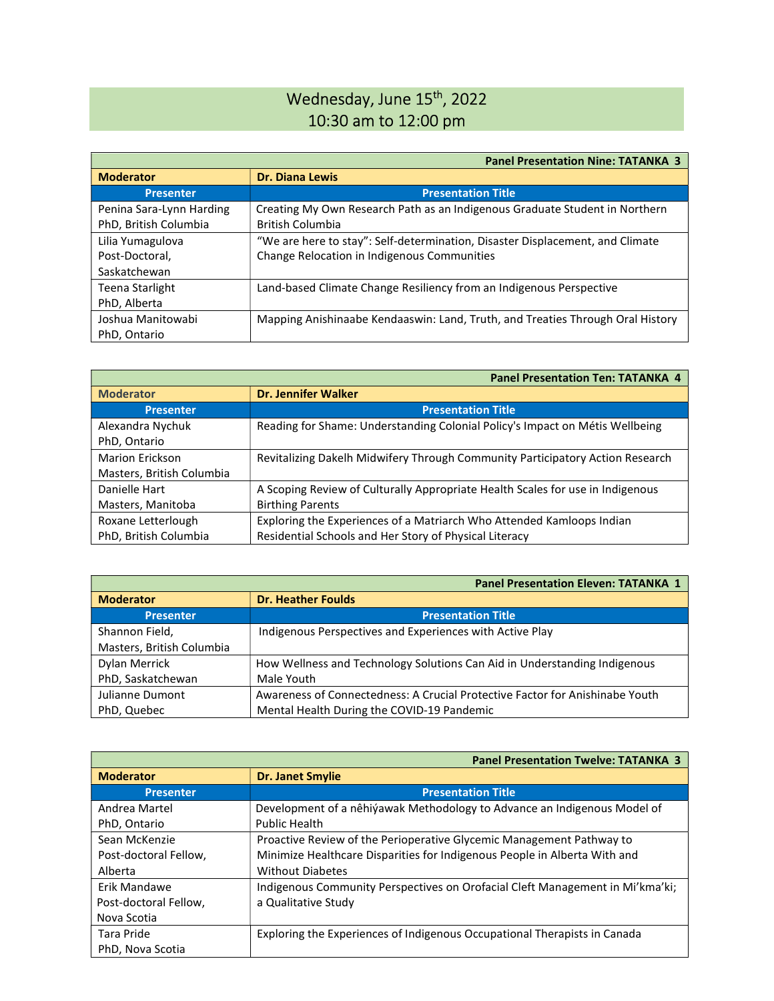## Wednesday, June 15<sup>th</sup>, 2022 10:30 am to 12:00 pm

|                          | <b>Panel Presentation Nine: TATANKA 3</b>                                      |
|--------------------------|--------------------------------------------------------------------------------|
| <b>Moderator</b>         | <b>Dr. Diana Lewis</b>                                                         |
| <b>Presenter</b>         | <b>Presentation Title</b>                                                      |
| Penina Sara-Lynn Harding | Creating My Own Research Path as an Indigenous Graduate Student in Northern    |
| PhD, British Columbia    | <b>British Columbia</b>                                                        |
| Lilia Yumagulova         | "We are here to stay": Self-determination, Disaster Displacement, and Climate  |
| Post-Doctoral,           | Change Relocation in Indigenous Communities                                    |
| Saskatchewan             |                                                                                |
| <b>Teena Starlight</b>   | Land-based Climate Change Resiliency from an Indigenous Perspective            |
| PhD, Alberta             |                                                                                |
| Joshua Manitowabi        | Mapping Anishinaabe Kendaaswin: Land, Truth, and Treaties Through Oral History |
| PhD, Ontario             |                                                                                |

|                           | <b>Panel Presentation Ten: TATANKA 4</b>                                       |
|---------------------------|--------------------------------------------------------------------------------|
| <b>Moderator</b>          | <b>Dr. Jennifer Walker</b>                                                     |
| <b>Presenter</b>          | <b>Presentation Title</b>                                                      |
| Alexandra Nychuk          | Reading for Shame: Understanding Colonial Policy's Impact on Métis Wellbeing   |
| PhD, Ontario              |                                                                                |
| <b>Marion Erickson</b>    | Revitalizing Dakelh Midwifery Through Community Participatory Action Research  |
| Masters, British Columbia |                                                                                |
| Danielle Hart             | A Scoping Review of Culturally Appropriate Health Scales for use in Indigenous |
| Masters, Manitoba         | <b>Birthing Parents</b>                                                        |
| Roxane Letterlough        | Exploring the Experiences of a Matriarch Who Attended Kamloops Indian          |
| PhD, British Columbia     | Residential Schools and Her Story of Physical Literacy                         |

|                           | <b>Panel Presentation Eleven: TATANKA 1</b>                                  |
|---------------------------|------------------------------------------------------------------------------|
| <b>Moderator</b>          | <b>Dr. Heather Foulds</b>                                                    |
| <b>Presenter</b>          | <b>Presentation Title</b>                                                    |
| Shannon Field,            | Indigenous Perspectives and Experiences with Active Play                     |
| Masters, British Columbia |                                                                              |
| Dylan Merrick             | How Wellness and Technology Solutions Can Aid in Understanding Indigenous    |
| PhD, Saskatchewan         | Male Youth                                                                   |
| Julianne Dumont           | Awareness of Connectedness: A Crucial Protective Factor for Anishinabe Youth |
| PhD, Quebec               | Mental Health During the COVID-19 Pandemic                                   |

|                       | <b>Panel Presentation Twelve: TATANKA 3</b>                                   |
|-----------------------|-------------------------------------------------------------------------------|
| <b>Moderator</b>      | <b>Dr. Janet Smylie</b>                                                       |
| <b>Presenter</b>      | <b>Presentation Title</b>                                                     |
| Andrea Martel         | Development of a nêhiýawak Methodology to Advance an Indigenous Model of      |
| PhD, Ontario          | <b>Public Health</b>                                                          |
| Sean McKenzie         | Proactive Review of the Perioperative Glycemic Management Pathway to          |
| Post-doctoral Fellow, | Minimize Healthcare Disparities for Indigenous People in Alberta With and     |
| Alberta               | <b>Without Diabetes</b>                                                       |
| Erik Mandawe          | Indigenous Community Perspectives on Orofacial Cleft Management in Mi'kma'ki; |
| Post-doctoral Fellow, | a Qualitative Study                                                           |
| Nova Scotia           |                                                                               |
| Tara Pride            | Exploring the Experiences of Indigenous Occupational Therapists in Canada     |
| PhD, Nova Scotia      |                                                                               |